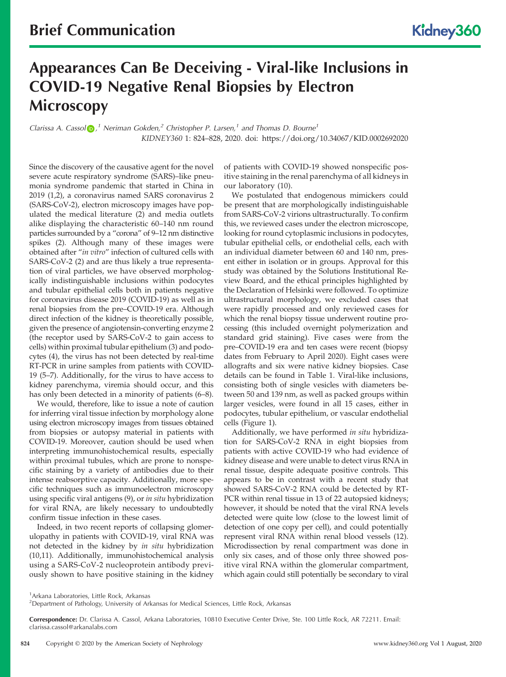# Appearances Can Be Deceiving - Viral-like Inclusions in COVID-19 Negative Renal Biopsies by Electron **Microscopy**

Clarissa A. Cassol  $\odot$ ,<sup>1</sup> Neriman Gokden,<sup>2</sup> Christopher P. Larsen,<sup>1</sup> and Thomas D. Bourne<sup>1</sup> KIDNEY360 1: 824–828, 2020. doi:<https://doi.org/10.34067/KID.0002692020>

Since the discovery of the causative agent for the novel severe acute respiratory syndrome (SARS)–like pneumonia syndrome pandemic that started in China in 2019 (1,2), a coronavirus named SARS coronavirus 2 (SARS-CoV-2), electron microscopy images have populated the medical literature (2) and media outlets alike displaying the characteristic 60–140 nm round particles surrounded by a "corona" of 9–12 nm distinctive spikes (2). Although many of these images were obtained after "in vitro" infection of cultured cells with SARS-CoV-2 (2) and are thus likely a true representation of viral particles, we have observed morphologically indistinguishable inclusions within podocytes and tubular epithelial cells both in patients negative for coronavirus disease 2019 (COVID-19) as well as in renal biopsies from the pre–COVID-19 era. Although direct infection of the kidney is theoretically possible, given the presence of angiotensin-converting enzyme 2 (the receptor used by SARS-CoV-2 to gain access to cells) within proximal tubular epithelium (3) and podocytes (4), the virus has not been detected by real-time RT-PCR in urine samples from patients with COVID-19 (5–7). Additionally, for the virus to have access to kidney parenchyma, viremia should occur, and this has only been detected in a minority of patients  $(6-8)$ .

We would, therefore, like to issue a note of caution for inferring viral tissue infection by morphology alone using electron microscopy images from tissues obtained from biopsies or autopsy material in patients with COVID-19. Moreover, caution should be used when interpreting immunohistochemical results, especially within proximal tubules, which are prone to nonspecific staining by a variety of antibodies due to their intense reabsorptive capacity. Additionally, more specific techniques such as immunoelectron microscopy using specific viral antigens (9), or in situ hybridization for viral RNA, are likely necessary to undoubtedly confirm tissue infection in these cases.

Indeed, in two recent reports of collapsing glomerulopathy in patients with COVID-19, viral RNA was not detected in the kidney by in situ hybridization (10,11). Additionally, immunohistochemical analysis using a SARS-CoV-2 nucleoprotein antibody previously shown to have positive staining in the kidney

of patients with COVID-19 showed nonspecific positive staining in the renal parenchyma of all kidneys in our laboratory (10).

We postulated that endogenous mimickers could be present that are morphologically indistinguishable from SARS-CoV-2 virions ultrastructurally. To confirm this, we reviewed cases under the electron microscope, looking for round cytoplasmic inclusions in podocytes, tubular epithelial cells, or endothelial cells, each with an individual diameter between 60 and 140 nm, present either in isolation or in groups. Approval for this study was obtained by the Solutions Institutional Review Board, and the ethical principles highlighted by the Declaration of Helsinki were followed. To optimize ultrastructural morphology, we excluded cases that were rapidly processed and only reviewed cases for which the renal biopsy tissue underwent routine processing (this included overnight polymerization and standard grid staining). Five cases were from the pre–COVID-19 era and ten cases were recent (biopsy dates from February to April 2020). Eight cases were allografts and six were native kidney biopsies. Case details can be found in Table 1. Viral-like inclusions, consisting both of single vesicles with diameters between 50 and 139 nm, as well as packed groups within larger vesicles, were found in all 15 cases, either in podocytes, tubular epithelium, or vascular endothelial cells (Figure 1).

Additionally, we have performed in situ hybridization for SARS-CoV-2 RNA in eight biopsies from patients with active COVID-19 who had evidence of kidney disease and were unable to detect virus RNA in renal tissue, despite adequate positive controls. This appears to be in contrast with a recent study that showed SARS-CoV-2 RNA could be detected by RT-PCR within renal tissue in 13 of 22 autopsied kidneys; however, it should be noted that the viral RNA levels detected were quite low (close to the lowest limit of detection of one copy per cell), and could potentially represent viral RNA within renal blood vessels (12). Microdissection by renal compartment was done in only six cases, and of those only three showed positive viral RNA within the glomerular compartment, which again could still potentially be secondary to viral

<sup>1</sup> Arkana Laboratories, Little Rock, Arkansas

<sup>&</sup>lt;sup>2</sup>Department of Pathology, University of Arkansas for Medical Sciences, Little Rock, Arkansas

Correspondence: Dr. Clarissa A. Cassol, Arkana Laboratories, 10810 Executive Center Drive, Ste. 100 Little Rock, AR 72211. Email: [clarissa.cassol@arkanalabs.com](mailto:clarissa.cassol@arkanalabs.com)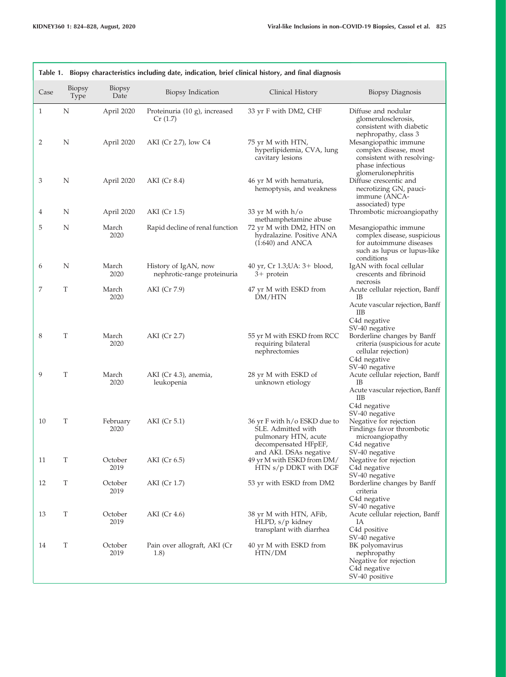Г

٦

| Table 1. Biopsy characteristics including date, indication, brief clinical history, and final diagnosis |                       |                  |                                                     |                                                                                                                              |                                                                                                                                                                                    |  |  |  |  |
|---------------------------------------------------------------------------------------------------------|-----------------------|------------------|-----------------------------------------------------|------------------------------------------------------------------------------------------------------------------------------|------------------------------------------------------------------------------------------------------------------------------------------------------------------------------------|--|--|--|--|
| Case                                                                                                    | Biopsy<br><b>Type</b> | Biopsy<br>Date   | Biopsy Indication                                   | Clinical History                                                                                                             | Biopsy Diagnosis                                                                                                                                                                   |  |  |  |  |
| 1                                                                                                       | Ν                     | April 2020       | Proteinuria (10 g), increased<br>Cr(1.7)            | 33 yr F with DM2, CHF                                                                                                        | Diffuse and nodular<br>glomerulosclerosis,<br>consistent with diabetic<br>nephropathy, class 3                                                                                     |  |  |  |  |
| 2                                                                                                       | N                     | April 2020       | AKI (Cr 2.7), low C4                                | 75 yr M with HTN,<br>hyperlipidemia, CVA, lung<br>cavitary lesions                                                           | Mesangiopathic immune<br>complex disease, most<br>consistent with resolving-<br>phase infectious<br>glomerulonephritis                                                             |  |  |  |  |
| 3                                                                                                       | N                     | April 2020       | AKI (Cr 8.4)                                        | 46 yr M with hematuria,<br>hemoptysis, and weakness                                                                          | Diffuse crescentic and<br>necrotizing GN, pauci-<br>immune (ANCA-<br>associated) type                                                                                              |  |  |  |  |
| 4                                                                                                       | N                     | April 2020       | AKI (Cr 1.5)                                        | 33 yr M with $h/o$<br>methamphetamine abuse                                                                                  | Thrombotic microangiopathy                                                                                                                                                         |  |  |  |  |
| 5                                                                                                       | N                     | March<br>2020    | Rapid decline of renal function                     | 72 yr M with DM2, HTN on<br>hydralazine. Positive ANA<br>$(1:640)$ and ANCA                                                  | Mesangiopathic immune<br>complex disease, suspicious<br>for autoimmune diseases<br>such as lupus or lupus-like<br>conditions                                                       |  |  |  |  |
| 6                                                                                                       | N                     | March<br>2020    | History of IgAN, now<br>nephrotic-range proteinuria | 40 yr, Cr 1.3; UA: 3+ blood,<br>$3+$ protein                                                                                 | IgAN with focal cellular<br>crescents and fibrinoid<br>necrosis                                                                                                                    |  |  |  |  |
| 7                                                                                                       | T                     | March<br>2020    | AKI (Cr 7.9)                                        | 47 yr M with ESKD from<br>DM/HTN                                                                                             | Acute cellular rejection, Banff<br>IB<br>Acute vascular rejection, Banff<br>ШB                                                                                                     |  |  |  |  |
| 8                                                                                                       | T                     | March<br>2020    | AKI (Cr 2.7)                                        | 55 yr M with ESKD from RCC<br>requiring bilateral<br>nephrectomies                                                           | C <sub>4</sub> d negative<br>SV-40 negative<br>Borderline changes by Banff<br>criteria (suspicious for acute<br>cellular rejection)<br>C <sub>4</sub> d negative<br>SV-40 negative |  |  |  |  |
| 9                                                                                                       | T                     | March<br>2020    | AKI (Cr 4.3), anemia,<br>leukopenia                 | 28 yr M with ESKD of<br>unknown etiology                                                                                     | Acute cellular rejection, Banff<br>IB<br>Acute vascular rejection, Banff<br>IIВ<br>C <sub>4</sub> d negative<br>SV-40 negative                                                     |  |  |  |  |
| 10                                                                                                      | T                     | February<br>2020 | AKI (Cr 5.1)                                        | 36 yr F with h/o ESKD due to<br>SLE. Admitted with<br>pulmonary HTN, acute<br>decompensated HFpEF,<br>and AKI. DSAs negative | Negative for rejection<br>Findings favor thrombotic<br>microangiopathy<br>C <sub>4</sub> d negative<br>SV-40 negative                                                              |  |  |  |  |
| 11                                                                                                      | Τ                     | October<br>2019  | AKI (Cr 6.5)                                        | 49 yr M with ESKD from DM/<br>HTN s/p DDKT with DGF                                                                          | Negative for rejection<br>C <sub>4</sub> d negative<br>SV-40 negative                                                                                                              |  |  |  |  |
| 12                                                                                                      | T                     | October<br>2019  | AKI (Cr 1.7)                                        | 53 yr with ESKD from DM2                                                                                                     | Borderline changes by Banff<br>criteria<br>C4d negative<br>SV-40 negative                                                                                                          |  |  |  |  |
| 13                                                                                                      | T                     | October<br>2019  | AKI (Cr 4.6)                                        | 38 yr M with HTN, AFib,<br>HLPD, s/p kidney<br>transplant with diarrhea                                                      | Acute cellular rejection, Banff<br>IA<br>C <sub>4</sub> d positive<br>SV-40 negative                                                                                               |  |  |  |  |
| 14                                                                                                      | T                     | October<br>2019  | Pain over allograft, AKI (Cr<br>(1.8)               | 40 yr M with ESKD from<br>HTN/DM                                                                                             | BK polyomavirus<br>nephropathy<br>Negative for rejection<br>C <sub>4</sub> d negative<br>SV-40 positive                                                                            |  |  |  |  |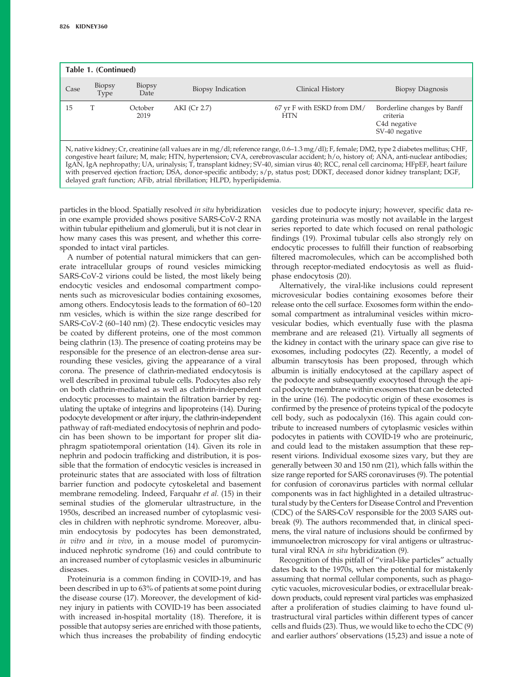| Table 1. (Continued)                                                                                                                                                                                                                                                                                                                                                                                                                                                                                                                                                                                                                    |                |                       |                   |                                          |                                                                                        |  |  |  |  |
|-----------------------------------------------------------------------------------------------------------------------------------------------------------------------------------------------------------------------------------------------------------------------------------------------------------------------------------------------------------------------------------------------------------------------------------------------------------------------------------------------------------------------------------------------------------------------------------------------------------------------------------------|----------------|-----------------------|-------------------|------------------------------------------|----------------------------------------------------------------------------------------|--|--|--|--|
| Case                                                                                                                                                                                                                                                                                                                                                                                                                                                                                                                                                                                                                                    | Biopsy<br>Type | <b>Biopsy</b><br>Date | Biopsy Indication | Clinical History                         | Biopsy Diagnosis                                                                       |  |  |  |  |
| 15                                                                                                                                                                                                                                                                                                                                                                                                                                                                                                                                                                                                                                      |                | October<br>2019       | AKI (Cr 2.7)      | 67 yr F with ESKD from DM/<br><b>HTN</b> | Borderline changes by Banff<br>criteria<br>C <sub>4</sub> d negative<br>SV-40 negative |  |  |  |  |
| N, native kidney; Cr, creatinine (all values are in mg/dl; reference range, 0.6–1.3 mg/dl); F, female; DM2, type 2 diabetes mellitus; CHF,<br>congestive heart failure; M, male; HTN, hypertension; CVA, cerebrovascular accident; h/o, history of; ANA, anti-nuclear antibodies;<br>IgAN, IgA nephropathy; UA, urinalysis; T, transplant kidney; SV-40, simian virus 40; RCC, renal cell carcinoma; HFpEF, heart failure<br>with preserved ejection fraction; DSA, donor-specific antibody; s/p, status post; DDKT, deceased donor kidney transplant; DGF,<br>delayed graft function; AFib, atrial fibrillation; HLPD, hyperlipidemia. |                |                       |                   |                                          |                                                                                        |  |  |  |  |

particles in the blood. Spatially resolved in situ hybridization in one example provided shows positive SARS-CoV-2 RNA within tubular epithelium and glomeruli, but it is not clear in how many cases this was present, and whether this corresponded to intact viral particles.

A number of potential natural mimickers that can generate intracellular groups of round vesicles mimicking SARS-CoV-2 virions could be listed, the most likely being endocytic vesicles and endosomal compartment components such as microvesicular bodies containing exosomes, among others. Endocytosis leads to the formation of 60–120 nm vesicles, which is within the size range described for SARS-CoV-2 (60–140 nm) (2). These endocytic vesicles may be coated by different proteins, one of the most common being clathrin (13). The presence of coating proteins may be responsible for the presence of an electron-dense area surrounding these vesicles, giving the appearance of a viral corona. The presence of clathrin-mediated endocytosis is well described in proximal tubule cells. Podocytes also rely on both clathrin-mediated as well as clathrin-independent endocytic processes to maintain the filtration barrier by regulating the uptake of integrins and lipoproteins (14). During podocyte development or after injury, the clathrin-independent pathway of raft-mediated endocytosis of nephrin and podocin has been shown to be important for proper slit diaphragm spatiotemporal orientation (14). Given its role in nephrin and podocin trafficking and distribution, it is possible that the formation of endocytic vesicles is increased in proteinuric states that are associated with loss of filtration barrier function and podocyte cytoskeletal and basement membrane remodeling. Indeed, Farquahr et al. (15) in their seminal studies of the glomerular ultrastructure, in the 1950s, described an increased number of cytoplasmic vesicles in children with nephrotic syndrome. Moreover, albumin endocytosis by podocytes has been demonstrated, in vitro and in vivo, in a mouse model of puromycininduced nephrotic syndrome (16) and could contribute to an increased number of cytoplasmic vesicles in albuminuric diseases.

Proteinuria is a common finding in COVID-19, and has been described in up to 63% of patients at some point during the disease course (17). Moreover, the development of kidney injury in patients with COVID-19 has been associated with increased in-hospital mortality (18). Therefore, it is possible that autopsy series are enriched with those patients, which thus increases the probability of finding endocytic

vesicles due to podocyte injury; however, specific data regarding proteinuria was mostly not available in the largest series reported to date which focused on renal pathologic findings (19). Proximal tubular cells also strongly rely on endocytic processes to fulfill their function of reabsorbing filtered macromolecules, which can be accomplished both through receptor-mediated endocytosis as well as fluidphase endocytosis (20).

Alternatively, the viral-like inclusions could represent microvesicular bodies containing exosomes before their release onto the cell surface. Exosomes form within the endosomal compartment as intraluminal vesicles within microvesicular bodies, which eventually fuse with the plasma membrane and are released (21). Virtually all segments of the kidney in contact with the urinary space can give rise to exosomes, including podocytes (22). Recently, a model of albumin transcytosis has been proposed, through which albumin is initially endocytosed at the capillary aspect of the podocyte and subsequently exocytosed through the apical podocyte membrane within exosomes that can be detected in the urine (16). The podocytic origin of these exosomes is confirmed by the presence of proteins typical of the podocyte cell body, such as podocalyxin (16). This again could contribute to increased numbers of cytoplasmic vesicles within podocytes in patients with COVID-19 who are proteinuric, and could lead to the mistaken assumption that these represent virions. Individual exosome sizes vary, but they are generally between 30 and 150 nm (21), which falls within the size range reported for SARS coronaviruses (9). The potential for confusion of coronavirus particles with normal cellular components was in fact highlighted in a detailed ultrastructural study by the Centers for Disease Control and Prevention (CDC) of the SARS-CoV responsible for the 2003 SARS outbreak (9). The authors recommended that, in clinical specimens, the viral nature of inclusions should be confirmed by immunoelectron microscopy for viral antigens or ultrastructural viral RNA in situ hybridization (9).

Recognition of this pitfall of "viral-like particles" actually dates back to the 1970s, when the potential for mistakenly assuming that normal cellular components, such as phagocytic vacuoles, microvesicular bodies, or extracellular breakdown products, could represent viral particles was emphasized after a proliferation of studies claiming to have found ultrastructural viral particles within different types of cancer cells and fluids (23). Thus, we would like to echo the CDC (9) and earlier authors' observations (15,23) and issue a note of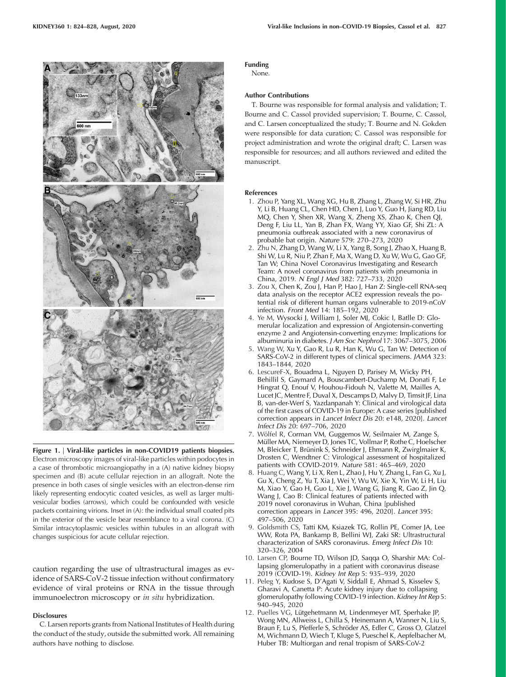

Figure 1. | Viral-like particles in non-COVID19 patients biopsies. Electron microscopy images of viral-like particles within podocytes in a case of thrombotic microangiopathy in a (A) native kidney biopsy specimen and (B) acute cellular rejection in an allograft. Note the presence in both cases of single vesicles with an electron-dense rim likely representing endocytic coated vesicles, as well as larger multivesicular bodies (arrows), which could be confounded with vesicle packets containing virions. Inset in (A): the individual small coated pits in the exterior of the vesicle bear resemblance to a viral corona. (C) Similar intracytoplasmic vesicles within tubules in an allograft with changes suspicious for acute cellular rejection.

caution regarding the use of ultrastructural images as evidence of SARS-CoV-2 tissue infection without confirmatory evidence of viral proteins or RNA in the tissue through immunoelectron microscopy or in situ hybridization.

## **Disclosures**

C. Larsen reports grants from National Institutes of Health during the conduct of the study, outside the submitted work. All remaining authors have nothing to disclose.

# Funding

None.

#### Author Contributions

T. Bourne was responsible for formal analysis and validation; T. Bourne and C. Cassol provided supervision; T. Bourne, C. Cassol, and C. Larsen conceptualized the study; T. Bourne and N. Gokden were responsible for data curation; C. Cassol was responsible for project administration and wrote the original draft; C. Larsen was responsible for resources; and all authors reviewed and edited the manuscript.

### References

- 1. Zhou P, Yang XL, Wang XG, Hu B, Zhang L, Zhang W, Si HR, Zhu Y, Li B, Huang CL, Chen HD, Chen J, Luo Y, Guo H, Jiang RD, Liu MQ, Chen Y, Shen XR, Wang X, Zheng XS, Zhao K, Chen QJ, Deng F, Liu LL, Yan B, Zhan FX, Wang YY, Xiao GF, Shi ZL: A pneumonia outbreak associated with a new coronavirus of probable bat origin. Nature 579: 270–273, 2020
- 2. Zhu N, Zhang D, Wang W, Li X, Yang B, Song J, Zhao X, Huang B, Shi W, Lu R, Niu P, Zhan F, Ma X, Wang D, Xu W, Wu G, Gao GF, Tan W; China Novel Coronavirus Investigating and Research Team: A novel coronavirus from patients with pneumonia in China, 2019. N Engl J Med 382: 727–733, 2020
- 3. Zou X, Chen K, Zou J, Han P, Hao J, Han Z: Single-cell RNA-seq data analysis on the receptor ACE2 expression reveals the potential risk of different human organs vulnerable to 2019-nCoV infection. Front Med 14: 185–192, 2020
- 4. Ye M, Wysocki J, William J, Soler MJ, Cokic I, Batlle D: Glomerular localization and expression of Angiotensin-converting enzyme 2 and Angiotensin-converting enzyme: Implications for albuminuria in diabetes. J Am Soc Nephrol 17: 3067–3075, 2006
- 5. Wang W, Xu Y, Gao R, Lu R, Han K, Wu G, Tan W: Detection of SARS-CoV-2 in different types of clinical specimens. JAMA 323: 1843–1844, 2020
- 6. LescureF-X, Bouadma L, Nguyen D, Parisey M, Wicky PH, Behillil S, Gaymard A, Bouscambert-Duchamp M, Donati F, Le Hingrat Q, Enouf V, Houhou-Fidouh N, Valette M, Mailles A, Lucet JC, Mentre F, Duval X, Descamps D, Malvy D, Timsit JF, Lina B, van-der-Werf S, Yazdanpanah Y: Clinical and virological data of the first cases of COVID-19 in Europe: A case series [published correction appears in Lancet Infect Dis 20: e148, 2020]. Lancet Infect Dis 20: 697–706, 2020
- 7. Wölfel R, Corman VM, Guggemos W, Seilmaier M, Zange S, Müller MA, Niemeyer D, Jones TC, Vollmar P, Rothe C, Hoelscher M, Bleicker T, Brünink S, Schneider J, Ehmann R, Zwirglmaier K, Drosten C, Wendtner C: Virological assessment of hospitalized patients with COVID-2019. Nature 581: 465–469, 2020
- 8. Huang C, Wang Y, Li X, Ren L, Zhao J, Hu Y, Zhang L, Fan G, Xu J, Gu X, Cheng Z, Yu T, Xia J, Wei Y, Wu W, Xie X, Yin W, Li H, Liu M, Xiao Y, Gao H, Guo L, Xie J, Wang G, Jiang R, Gao Z, Jin Q, Wang J, Cao B: Clinical features of patients infected with 2019 novel coronavirus in Wuhan, China [published correction appears in Lancet 395: 496, 2020]. Lancet 395: 497–506, 2020
- 9. Goldsmith CS, Tatti KM, Ksiazek TG, Rollin PE, Comer JA, Lee WW, Rota PA, Bankamp B, Bellini WJ, Zaki SR: Ultrastructural characterization of SARS coronavirus. Emerg Infect Dis 10: 320–326, 2004
- 10. Larsen CP, Bourne TD, Wilson JD, Saqqa O, Sharshir MA: Collapsing glomerulopathy in a patient with coronavirus disease 2019 (COVID-19). Kidney Int Rep 5: 935–939, 2020
- 11. Peleg Y, Kudose S, D'Agati V, Siddall E, Ahmad S, Kisselev S, Gharavi A, Canetta P: Acute kidney injury due to collapsing glomerulopathy following COVID-19 infection. Kidney Int Rep 5: 940–945, 2020
- 12. Puelles VG, Lütgehetmann M, Lindenmeyer MT, Sperhake JP, Wong MN, Allweiss L, Chilla S, Heinemann A, Wanner N, Liu S, Braun F, Lu S, Pfefferle S, Schröder AS, Edler C, Gross O, Glatzel M, Wichmann D, Wiech T, Kluge S, Pueschel K, Aepfelbacher M, Huber TB: Multiorgan and renal tropism of SARS-CoV-2